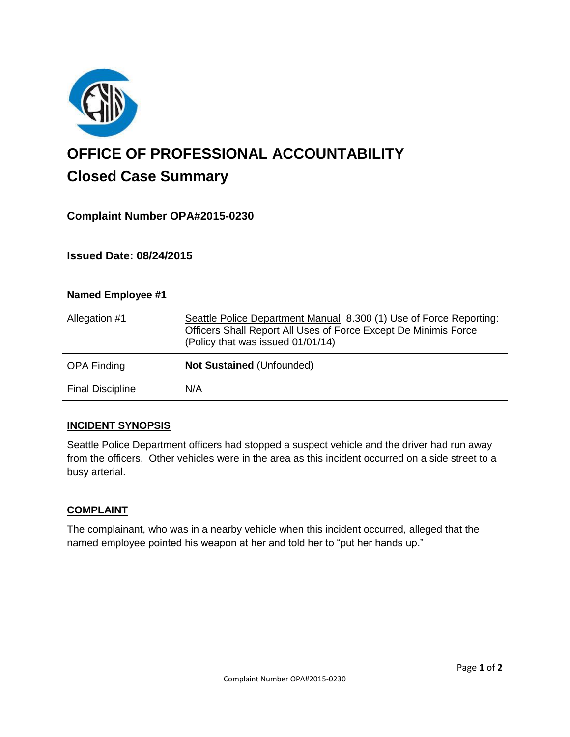

# **OFFICE OF PROFESSIONAL ACCOUNTABILITY Closed Case Summary**

# **Complaint Number OPA#2015-0230**

# **Issued Date: 08/24/2015**

| <b>Named Employee #1</b> |                                                                                                                                                                            |
|--------------------------|----------------------------------------------------------------------------------------------------------------------------------------------------------------------------|
| Allegation #1            | Seattle Police Department Manual 8.300 (1) Use of Force Reporting:<br>Officers Shall Report All Uses of Force Except De Minimis Force<br>(Policy that was issued 01/01/14) |
| <b>OPA Finding</b>       | <b>Not Sustained (Unfounded)</b>                                                                                                                                           |
| <b>Final Discipline</b>  | N/A                                                                                                                                                                        |

#### **INCIDENT SYNOPSIS**

Seattle Police Department officers had stopped a suspect vehicle and the driver had run away from the officers. Other vehicles were in the area as this incident occurred on a side street to a busy arterial.

#### **COMPLAINT**

The complainant, who was in a nearby vehicle when this incident occurred, alleged that the named employee pointed his weapon at her and told her to "put her hands up."